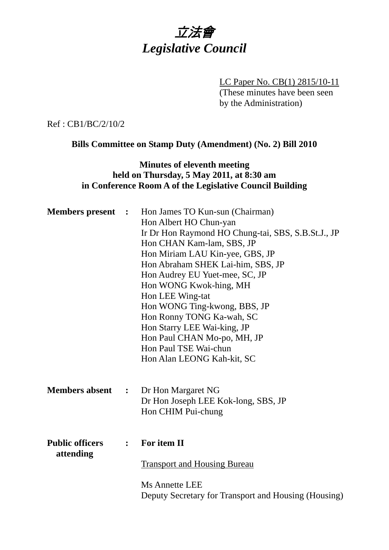

LC Paper No. CB(1) 2815/10-11 (These minutes have been seen by the Administration)

Ref : CB1/BC/2/10/2

**Bills Committee on Stamp Duty (Amendment) (No. 2) Bill 2010** 

## **Minutes of eleventh meeting held on Thursday, 5 May 2011, at 8:30 am in Conference Room A of the Legislative Council Building**

| <b>Members</b> present              | $\mathbb{R}^2$       | Hon James TO Kun-sun (Chairman)<br>Hon Albert HO Chun-yan<br>Ir Dr Hon Raymond HO Chung-tai, SBS, S.B.St.J., JP<br>Hon CHAN Kam-lam, SBS, JP<br>Hon Miriam LAU Kin-yee, GBS, JP<br>Hon Abraham SHEK Lai-him, SBS, JP<br>Hon Audrey EU Yuet-mee, SC, JP<br>Hon WONG Kwok-hing, MH<br>Hon LEE Wing-tat<br>Hon WONG Ting-kwong, BBS, JP<br>Hon Ronny TONG Ka-wah, SC<br>Hon Starry LEE Wai-king, JP<br>Hon Paul CHAN Mo-po, MH, JP<br>Hon Paul TSE Wai-chun<br>Hon Alan LEONG Kah-kit, SC |
|-------------------------------------|----------------------|----------------------------------------------------------------------------------------------------------------------------------------------------------------------------------------------------------------------------------------------------------------------------------------------------------------------------------------------------------------------------------------------------------------------------------------------------------------------------------------|
| <b>Members absent</b>               | $\ddot{\phantom{1}}$ | Dr Hon Margaret NG<br>Dr Hon Joseph LEE Kok-long, SBS, JP<br>Hon CHIM Pui-chung                                                                                                                                                                                                                                                                                                                                                                                                        |
| <b>Public officers</b><br>attending | $\ddot{\bullet}$     | For item II<br><b>Transport and Housing Bureau</b><br><b>Ms Annette LEE</b><br>Deputy Secretary for Transport and Housing (Housing)                                                                                                                                                                                                                                                                                                                                                    |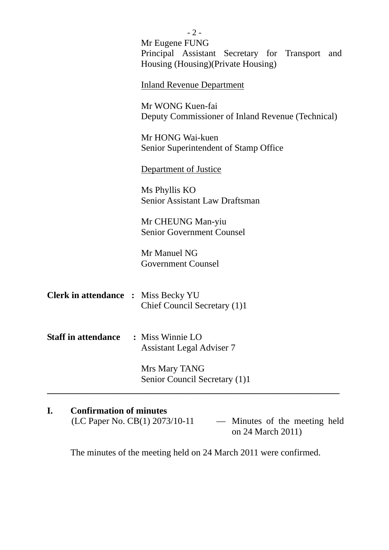|                                            | $-2-$                                                                 |
|--------------------------------------------|-----------------------------------------------------------------------|
|                                            | Mr Eugene FUNG<br>Principal Assistant Secretary for Transport and     |
|                                            | Housing (Housing) (Private Housing)                                   |
|                                            | <b>Inland Revenue Department</b>                                      |
|                                            | Mr WONG Kuen-fai<br>Deputy Commissioner of Inland Revenue (Technical) |
|                                            | Mr HONG Wai-kuen<br>Senior Superintendent of Stamp Office             |
|                                            | Department of Justice                                                 |
|                                            | Ms Phyllis KO<br><b>Senior Assistant Law Draftsman</b>                |
|                                            | Mr CHEUNG Man-yiu<br><b>Senior Government Counsel</b>                 |
|                                            | Mr Manuel NG<br><b>Government Counsel</b>                             |
| <b>Clerk in attendance : Miss Becky YU</b> | Chief Council Secretary (1)1                                          |
| <b>Staff in attendance</b>                 | : Miss Winnie LO<br><b>Assistant Legal Adviser 7</b>                  |
|                                            | Mrs Mary TANG<br>Senior Council Secretary (1)1                        |
|                                            |                                                                       |

# **I. Confirmation of minutes**

(LC Paper No. CB(1) 2073/10-11 — Minutes of the meeting held on 24 March 2011)

The minutes of the meeting held on 24 March 2011 were confirmed.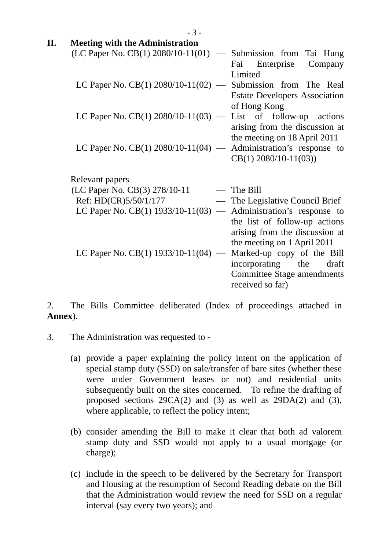| П. | <b>Meeting with the Administration</b>                             |                                                                 |
|----|--------------------------------------------------------------------|-----------------------------------------------------------------|
|    | (LC Paper No. CB(1) $2080/10-11(01)$<br>$\overline{\phantom{0}}$   | Submission from Tai Hung<br>Company<br>Fai<br>Enterprise        |
|    |                                                                    | Limited                                                         |
|    | LC Paper No. $CB(1)$ 2080/10-11(02) — Submission from The Real     |                                                                 |
|    |                                                                    | <b>Estate Developers Association</b>                            |
|    | LC Paper No. CB(1) $2080/10-11(03)$ — List of follow-up actions    | of Hong Kong                                                    |
|    |                                                                    | arising from the discussion at                                  |
|    | LC Paper No. $CB(1)$ 2080/10-11(04) — Administration's response to | the meeting on 18 April 2011                                    |
|    |                                                                    | $CB(1)$ 2080/10-11(03))                                         |
|    | <b>Relevant papers</b>                                             |                                                                 |
|    | (LC Paper No. CB(3) 278/10-11                                      | $-$ The Bill                                                    |
|    | Ref: HD(CR)5/50/1/177                                              | — The Legislative Council Brief                                 |
|    | LC Paper No. CB(1) 1933/10-11(03)                                  | - Administration's response to                                  |
|    |                                                                    | the list of follow-up actions<br>arising from the discussion at |
|    |                                                                    | the meeting on 1 April 2011                                     |
|    | LC Paper No. CB(1) $1933/10-11(04)$ —                              | Marked-up copy of the Bill                                      |
|    |                                                                    | incorporating the<br>draft<br><b>Committee Stage amendments</b> |
|    |                                                                    |                                                                 |
|    |                                                                    | received so far)                                                |

2. The Bills Committee deliberated (Index of proceedings attached in **Annex**).

- 3. The Administration was requested to
	- (a) provide a paper explaining the policy intent on the application of special stamp duty (SSD) on sale/transfer of bare sites (whether these were under Government leases or not) and residential units subsequently built on the sites concerned. To refine the drafting of proposed sections 29CA(2) and (3) as well as 29DA(2) and (3), where applicable, to reflect the policy intent;
	- (b) consider amending the Bill to make it clear that both ad valorem stamp duty and SSD would not apply to a usual mortgage (or charge);
	- (c) include in the speech to be delivered by the Secretary for Transport and Housing at the resumption of Second Reading debate on the Bill that the Administration would review the need for SSD on a regular interval (say every two years); and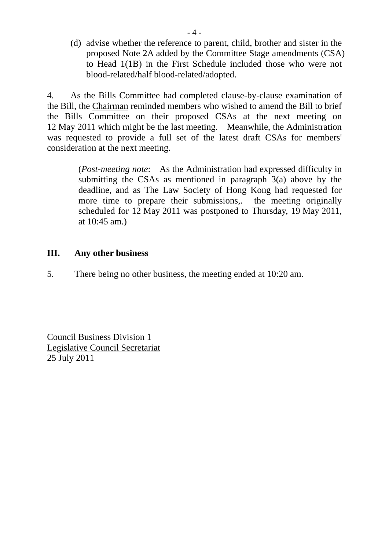(d) advise whether the reference to parent, child, brother and sister in the proposed Note 2A added by the Committee Stage amendments (CSA) to Head 1(1B) in the First Schedule included those who were not blood-related/half blood-related/adopted.

4. As the Bills Committee had completed clause-by-clause examination of the Bill, the Chairman reminded members who wished to amend the Bill to brief the Bills Committee on their proposed CSAs at the next meeting on 12 May 2011 which might be the last meeting. Meanwhile, the Administration was requested to provide a full set of the latest draft CSAs for members' consideration at the next meeting.

> (*Post-meeting note*: As the Administration had expressed difficulty in submitting the CSAs as mentioned in paragraph 3(a) above by the deadline, and as The Law Society of Hong Kong had requested for more time to prepare their submissions,. the meeting originally scheduled for 12 May 2011 was postponed to Thursday, 19 May 2011, at 10:45 am.)

### **III. Any other business**

5. There being no other business, the meeting ended at 10:20 am.

Council Business Division 1 Legislative Council Secretariat 25 July 2011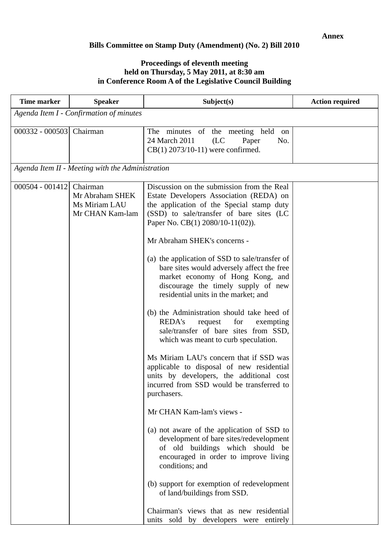#### **Bills Committee on Stamp Duty (Amendment) (No. 2) Bill 2010**

#### **Proceedings of eleventh meeting held on Thursday, 5 May 2011, at 8:30 am in Conference Room A of the Legislative Council Building**

| <b>Time marker</b>                      | <b>Speaker</b>                                                  | Subject(s)                                                                                                                                                                                                                                                                                                                                                                                                                                                                                                                                                                                                                                                                                                                                                                                                                                                                                                                                                                                                                                                                                                                                                                                          | <b>Action required</b> |  |
|-----------------------------------------|-----------------------------------------------------------------|-----------------------------------------------------------------------------------------------------------------------------------------------------------------------------------------------------------------------------------------------------------------------------------------------------------------------------------------------------------------------------------------------------------------------------------------------------------------------------------------------------------------------------------------------------------------------------------------------------------------------------------------------------------------------------------------------------------------------------------------------------------------------------------------------------------------------------------------------------------------------------------------------------------------------------------------------------------------------------------------------------------------------------------------------------------------------------------------------------------------------------------------------------------------------------------------------------|------------------------|--|
| Agenda Item I - Confirmation of minutes |                                                                 |                                                                                                                                                                                                                                                                                                                                                                                                                                                                                                                                                                                                                                                                                                                                                                                                                                                                                                                                                                                                                                                                                                                                                                                                     |                        |  |
| 000332 - 000503 Chairman                |                                                                 | The minutes of the meeting held on<br>24 March 2011<br>(LC)<br>Paper<br>No.<br>$CB(1)$ 2073/10-11) were confirmed.                                                                                                                                                                                                                                                                                                                                                                                                                                                                                                                                                                                                                                                                                                                                                                                                                                                                                                                                                                                                                                                                                  |                        |  |
|                                         | Agenda Item II - Meeting with the Administration                |                                                                                                                                                                                                                                                                                                                                                                                                                                                                                                                                                                                                                                                                                                                                                                                                                                                                                                                                                                                                                                                                                                                                                                                                     |                        |  |
| $000504 - 001412$                       | Chairman<br>Mr Abraham SHEK<br>Ms Miriam LAU<br>Mr CHAN Kam-lam | Discussion on the submission from the Real<br>Estate Developers Association (REDA) on<br>the application of the Special stamp duty<br>(SSD) to sale/transfer of bare sites (LC<br>Paper No. CB(1) 2080/10-11(02)).<br>Mr Abraham SHEK's concerns -<br>(a) the application of SSD to sale/transfer of<br>bare sites would adversely affect the free<br>market economy of Hong Kong, and<br>discourage the timely supply of new<br>residential units in the market; and<br>(b) the Administration should take heed of<br><b>REDA's</b><br>request<br>for<br>exempting<br>sale/transfer of bare sites from SSD,<br>which was meant to curb speculation.<br>Ms Miriam LAU's concern that if SSD was<br>applicable to disposal of new residential<br>units by developers, the additional cost<br>incurred from SSD would be transferred to<br>purchasers.<br>Mr CHAN Kam-lam's views -<br>(a) not aware of the application of SSD to<br>development of bare sites/redevelopment<br>of old buildings which should be<br>encouraged in order to improve living<br>conditions; and<br>(b) support for exemption of redevelopment<br>of land/buildings from SSD.<br>Chairman's views that as new residential |                        |  |
|                                         |                                                                 | units sold by developers were entirely                                                                                                                                                                                                                                                                                                                                                                                                                                                                                                                                                                                                                                                                                                                                                                                                                                                                                                                                                                                                                                                                                                                                                              |                        |  |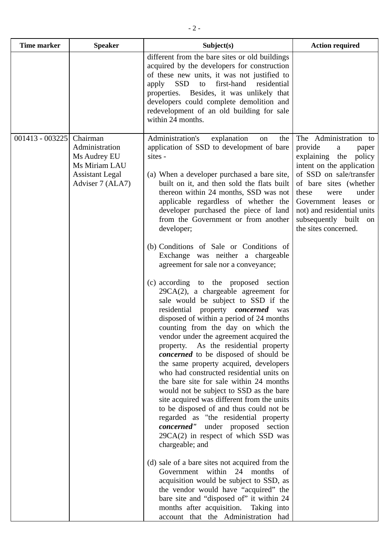| <b>Time marker</b> | <b>Speaker</b>                                                                                            | Subject(s)                                                                                                                                                                                                                                                                                                                                                                                                                                                                                                                                                                                                                                                                                                                                                                                                                                                                                                                                                                                                                                                                                                                                                                                                                                                                                                                                                                                                                                                                                                                                                                                                               | <b>Action required</b>                                                                                                                                                                                                                                                                        |
|--------------------|-----------------------------------------------------------------------------------------------------------|--------------------------------------------------------------------------------------------------------------------------------------------------------------------------------------------------------------------------------------------------------------------------------------------------------------------------------------------------------------------------------------------------------------------------------------------------------------------------------------------------------------------------------------------------------------------------------------------------------------------------------------------------------------------------------------------------------------------------------------------------------------------------------------------------------------------------------------------------------------------------------------------------------------------------------------------------------------------------------------------------------------------------------------------------------------------------------------------------------------------------------------------------------------------------------------------------------------------------------------------------------------------------------------------------------------------------------------------------------------------------------------------------------------------------------------------------------------------------------------------------------------------------------------------------------------------------------------------------------------------------|-----------------------------------------------------------------------------------------------------------------------------------------------------------------------------------------------------------------------------------------------------------------------------------------------|
|                    |                                                                                                           | different from the bare sites or old buildings<br>acquired by the developers for construction<br>of these new units, it was not justified to<br>SSD<br>to first-hand<br>residential<br>apply<br>properties. Besides, it was unlikely that<br>developers could complete demolition and<br>redevelopment of an old building for sale<br>within 24 months.                                                                                                                                                                                                                                                                                                                                                                                                                                                                                                                                                                                                                                                                                                                                                                                                                                                                                                                                                                                                                                                                                                                                                                                                                                                                  |                                                                                                                                                                                                                                                                                               |
| $001413 - 003225$  | Chairman<br>Administration<br>Ms Audrey EU<br>Ms Miriam LAU<br><b>Assistant Legal</b><br>Adviser 7 (ALA7) | Administration's<br>explanation<br>the<br>on<br>application of SSD to development of bare<br>sites -<br>(a) When a developer purchased a bare site,<br>built on it, and then sold the flats built<br>thereon within 24 months, SSD was not<br>applicable regardless of whether the<br>developer purchased the piece of land<br>from the Government or from another<br>developer;<br>(b) Conditions of Sale or Conditions of<br>Exchange was neither a chargeable<br>agreement for sale nor a conveyance;<br>(c) according to the proposed section<br>$29CA(2)$ , a chargeable agreement for<br>sale would be subject to SSD if the<br>residential property <i>concerned</i> was<br>disposed of within a period of 24 months<br>counting from the day on which the<br>vendor under the agreement acquired the<br>As the residential property<br>property.<br>concerned to be disposed of should be<br>the same property acquired, developers<br>who had constructed residential units on<br>the bare site for sale within 24 months<br>would not be subject to SSD as the bare<br>site acquired was different from the units<br>to be disposed of and thus could not be<br>regarded as "the residential property<br>concerned" under proposed section<br>$29CA(2)$ in respect of which SSD was<br>chargeable; and<br>(d) sale of a bare sites not acquired from the<br>Government within 24 months<br>– of<br>acquisition would be subject to SSD, as<br>the vendor would have "acquired" the<br>bare site and "disposed of" it within 24<br>months after acquisition. Taking into<br>account that the Administration had | The Administration to<br>provide<br>a<br>paper<br>explaining the<br>policy<br>intent on the application<br>of SSD on sale/transfer<br>of bare sites (whether<br>these<br>under<br>were<br>Government leases or<br>not) and residential units<br>subsequently built on<br>the sites concerned. |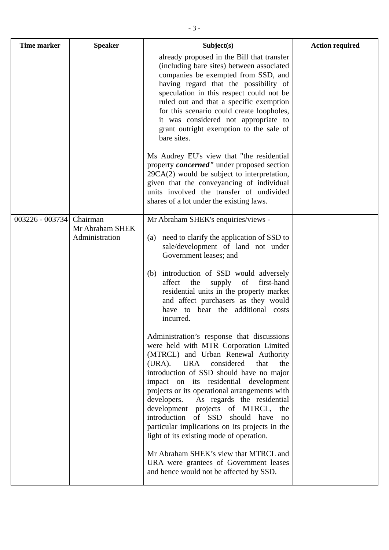| <b>Time marker</b> | <b>Speaker</b>                                | Subject(s)                                                                                                                                                                                                                                                                                                                                                                                                                                                                                                                                                                                                                                                                                                                                                                                                                                                                                                                                                                                                                                                                  | <b>Action required</b> |
|--------------------|-----------------------------------------------|-----------------------------------------------------------------------------------------------------------------------------------------------------------------------------------------------------------------------------------------------------------------------------------------------------------------------------------------------------------------------------------------------------------------------------------------------------------------------------------------------------------------------------------------------------------------------------------------------------------------------------------------------------------------------------------------------------------------------------------------------------------------------------------------------------------------------------------------------------------------------------------------------------------------------------------------------------------------------------------------------------------------------------------------------------------------------------|------------------------|
|                    |                                               | already proposed in the Bill that transfer<br>(including bare sites) between associated<br>companies be exempted from SSD, and<br>having regard that the possibility of<br>speculation in this respect could not be<br>ruled out and that a specific exemption<br>for this scenario could create loopholes,<br>it was considered not appropriate to<br>grant outright exemption to the sale of<br>bare sites.                                                                                                                                                                                                                                                                                                                                                                                                                                                                                                                                                                                                                                                               |                        |
|                    |                                               | Ms Audrey EU's view that "the residential<br>property <i>concerned</i> " under proposed section<br>$29CA(2)$ would be subject to interpretation,<br>given that the conveyancing of individual<br>units involved the transfer of undivided<br>shares of a lot under the existing laws.                                                                                                                                                                                                                                                                                                                                                                                                                                                                                                                                                                                                                                                                                                                                                                                       |                        |
| $003226 - 003734$  | Chairman<br>Mr Abraham SHEK<br>Administration | Mr Abraham SHEK's enquiries/views -<br>need to clarify the application of SSD to<br>(a)<br>sale/development of land not under<br>Government leases; and<br>introduction of SSD would adversely<br>(b)<br>affect<br>first-hand<br>supply<br>the<br>of<br>residential units in the property market<br>and affect purchasers as they would<br>have to bear the additional costs<br>incurred.<br>Administration's response that discussions<br>were held with MTR Corporation Limited<br>(MTRCL) and Urban Renewal Authority<br><b>URA</b><br>considered<br>(URA).<br>that<br>the<br>introduction of SSD should have no major<br>impact on its residential development<br>projects or its operational arrangements with<br>developers.<br>As regards the residential<br>development projects of MTRCL, the<br>introduction of SSD should have<br>no<br>particular implications on its projects in the<br>light of its existing mode of operation.<br>Mr Abraham SHEK's view that MTRCL and<br>URA were grantees of Government leases<br>and hence would not be affected by SSD. |                        |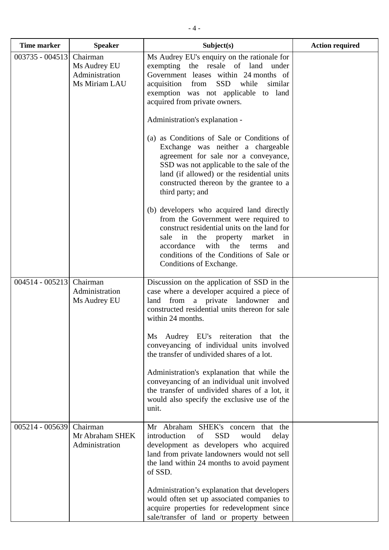| <b>Time marker</b> | <b>Speaker</b>                                              | Subject(s)                                                                                                                                                                                                                                                                                                                                                                                                                                                                                                                                     | <b>Action required</b> |
|--------------------|-------------------------------------------------------------|------------------------------------------------------------------------------------------------------------------------------------------------------------------------------------------------------------------------------------------------------------------------------------------------------------------------------------------------------------------------------------------------------------------------------------------------------------------------------------------------------------------------------------------------|------------------------|
| 003735 - 004513    | Chairman<br>Ms Audrey EU<br>Administration<br>Ms Miriam LAU | Ms Audrey EU's enquiry on the rationale for<br>exempting the resale of land under<br>Government leases within 24 months of<br><b>SSD</b><br>while<br>acquisition<br>from<br>similar<br>exemption was not applicable to land<br>acquired from private owners.                                                                                                                                                                                                                                                                                   |                        |
|                    |                                                             | Administration's explanation -<br>(a) as Conditions of Sale or Conditions of<br>Exchange was neither a chargeable<br>agreement for sale nor a conveyance,<br>SSD was not applicable to the sale of the<br>land (if allowed) or the residential units<br>constructed thereon by the grantee to a<br>third party; and                                                                                                                                                                                                                            |                        |
|                    |                                                             | (b) developers who acquired land directly<br>from the Government were required to<br>construct residential units on the land for<br>sale in the property<br>market<br>in<br>with<br>accordance<br>the<br>terms<br>and<br>conditions of the Conditions of Sale or<br>Conditions of Exchange.                                                                                                                                                                                                                                                    |                        |
| $004514 - 005213$  | Chairman<br>Administration<br>Ms Audrey EU                  | Discussion on the application of SSD in the<br>case where a developer acquired a piece of<br>land from a private landowner and<br>constructed residential units thereon for sale<br>within 24 months.<br>Ms Audrey EU's reiteration that the<br>conveyancing of individual units involved<br>the transfer of undivided shares of a lot.<br>Administration's explanation that while the<br>conveyancing of an individual unit involved<br>the transfer of undivided shares of a lot, it<br>would also specify the exclusive use of the<br>unit. |                        |
| 005214 - 005639    | Chairman<br>Mr Abraham SHEK<br>Administration               | Mr Abraham SHEK's concern that the<br>introduction<br><b>SSD</b><br>of<br>would<br>delay<br>development as developers who acquired<br>land from private landowners would not sell<br>the land within 24 months to avoid payment<br>of SSD.<br>Administration's explanation that developers<br>would often set up associated companies to<br>acquire properties for redevelopment since<br>sale/transfer of land or property between                                                                                                            |                        |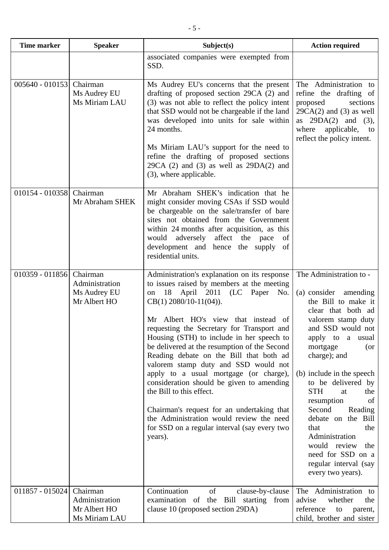| <b>Time marker</b> | <b>Speaker</b>                                              | Subject(s)                                                                                                                                                                                                                                                                                                                                                                                                                                                                                                                                                                                                                                                                                               | <b>Action required</b>                                                                                                                                                                                                                                                                                                                                                                                                                                                  |
|--------------------|-------------------------------------------------------------|----------------------------------------------------------------------------------------------------------------------------------------------------------------------------------------------------------------------------------------------------------------------------------------------------------------------------------------------------------------------------------------------------------------------------------------------------------------------------------------------------------------------------------------------------------------------------------------------------------------------------------------------------------------------------------------------------------|-------------------------------------------------------------------------------------------------------------------------------------------------------------------------------------------------------------------------------------------------------------------------------------------------------------------------------------------------------------------------------------------------------------------------------------------------------------------------|
|                    |                                                             | associated companies were exempted from<br>SSD.                                                                                                                                                                                                                                                                                                                                                                                                                                                                                                                                                                                                                                                          |                                                                                                                                                                                                                                                                                                                                                                                                                                                                         |
| $005640 - 010153$  | Chairman<br>Ms Audrey EU<br>Ms Miriam LAU                   | Ms Audrey EU's concerns that the present<br>drafting of proposed section 29CA (2) and<br>(3) was not able to reflect the policy intent<br>that SSD would not be chargeable if the land<br>was developed into units for sale within<br>24 months.<br>Ms Miriam LAU's support for the need to<br>refine the drafting of proposed sections<br>$29CA$ (2) and (3) as well as $29DA(2)$ and<br>(3), where applicable.                                                                                                                                                                                                                                                                                         | The Administration to<br>refine the drafting of<br>proposed<br>sections<br>$29CA(2)$ and (3) as well<br>as $29DA(2)$ and (3),<br>where<br>applicable, to<br>reflect the policy intent.                                                                                                                                                                                                                                                                                  |
| 010154 - 010358    | Chairman<br>Mr Abraham SHEK                                 | Mr Abraham SHEK's indication that he<br>might consider moving CSAs if SSD would<br>be chargeable on the sale/transfer of bare<br>sites not obtained from the Government<br>within 24 months after acquisition, as this<br>would adversely<br>affect the<br>pace<br>of<br>development and hence the supply<br>of<br>residential units.                                                                                                                                                                                                                                                                                                                                                                    |                                                                                                                                                                                                                                                                                                                                                                                                                                                                         |
| 010359 - 011856    | Chairman<br>Administration<br>Ms Audrey EU<br>Mr Albert HO  | Administration's explanation on its response<br>to issues raised by members at the meeting<br>18 April 2011 (LC Paper No.<br>on<br>$CB(1)$ 2080/10-11(04)).<br>Mr Albert HO's view that instead of<br>requesting the Secretary for Transport and<br>Housing (STH) to include in her speech to<br>be delivered at the resumption of the Second<br>Reading debate on the Bill that both ad<br>valorem stamp duty and SSD would not<br>apply to a usual mortgage (or charge),<br>consideration should be given to amending<br>the Bill to this effect.<br>Chairman's request for an undertaking that<br>the Administration would review the need<br>for SSD on a regular interval (say every two<br>years). | The Administration to -<br>(a) consider amending<br>the Bill to make it<br>clear that both ad<br>valorem stamp duty<br>and SSD would not<br>apply to a usual<br>mortgage<br>(or<br>charge); and<br>(b) include in the speech<br>to be delivered by<br><b>STH</b><br>the<br>at<br>of<br>resumption<br>Second<br>Reading<br>debate on the Bill<br>that<br>the<br>Administration<br>would review<br>the<br>need for SSD on a<br>regular interval (say<br>every two years). |
| $011857 - 015024$  | Chairman<br>Administration<br>Mr Albert HO<br>Ms Miriam LAU | Continuation<br>of<br>clause-by-clause<br>examination of the Bill starting from<br>clause 10 (proposed section 29DA)                                                                                                                                                                                                                                                                                                                                                                                                                                                                                                                                                                                     | The Administration to<br>advise<br>whether<br>the<br>reference<br>to<br>parent,<br>child, brother and sister                                                                                                                                                                                                                                                                                                                                                            |